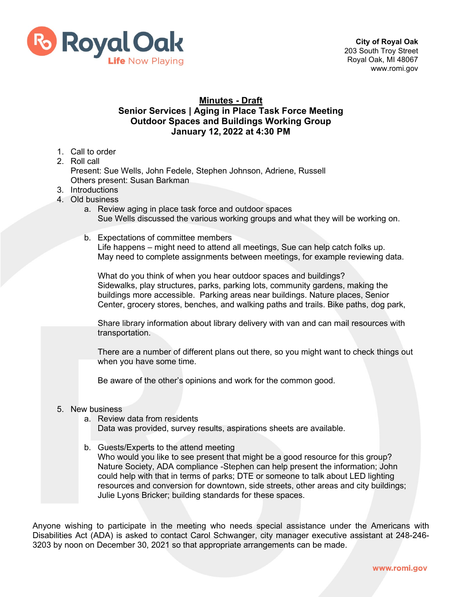

## **Minutes - Draft**

## **Senior Services | Aging in Place Task Force Meeting Outdoor Spaces and Buildings Working Group January 12, 2022 at 4:30 PM**

- 1. Call to order
- 2. Roll call

Present: Sue Wells, John Fedele, Stephen Johnson, Adriene, Russell Others present: Susan Barkman

- 3. Introductions
- 4. Old business
	- a. Review aging in place task force and outdoor spaces Sue Wells discussed the various working groups and what they will be working on.
	- b. Expectations of committee members Life happens – might need to attend all meetings, Sue can help catch folks up. May need to complete assignments between meetings, for example reviewing data.

What do you think of when you hear outdoor spaces and buildings? Sidewalks, play structures, parks, parking lots, community gardens, making the buildings more accessible. Parking areas near buildings. Nature places, Senior Center, grocery stores, benches, and walking paths and trails. Bike paths, dog park,

Share library information about library delivery with van and can mail resources with transportation.

There are a number of different plans out there, so you might want to check things out when you have some time.

Be aware of the other's opinions and work for the common good.

## 5. New business

a. Review data from residents

Data was provided, survey results, aspirations sheets are available.

b. Guests/Experts to the attend meeting Who would you like to see present that might be a good resource for this group? Nature Society, ADA compliance -Stephen can help present the information; John could help with that in terms of parks; DTE or someone to talk about LED lighting resources and conversion for downtown, side streets, other areas and city buildings; Julie Lyons Bricker; building standards for these spaces.

Anyone wishing to participate in the meeting who needs special assistance under the Americans with Disabilities Act (ADA) is asked to contact Carol Schwanger, city manager executive assistant at 248-246- 3203 by noon on December 30, 2021 so that appropriate arrangements can be made.